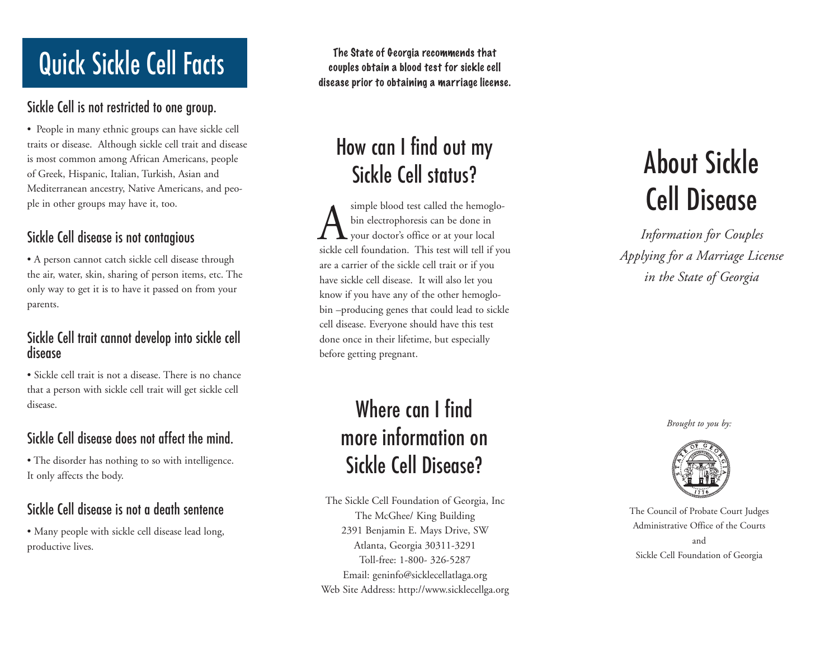# **Quick Sickle Cell Facts** The State of Georgia recommends that couples obtain a blood test for sickle cel

### Sickle Cell is not restricted to one group.

• People in many ethnic groups can have sickle cell traits or disease. Although sickle cell trait and disease is most common among African Americans, people of Greek, Hispanic, Italian, Turkish, Asian and Mediterranean ancestry, Native Americans, and people in other groups may have it, too.

### Sickle Cell disease is not contagious

• A person cannot catch sickle cell disease through the air, water, skin, sharing of person items, etc. The only way to get it is to have it passed on from your parents.

#### Sickle Cell trait canno t develop into sickle cell disease

• Sickle cell trait is not a disease. Ther e is no chance that a person with sickle cell trait will get sickle cell disease.

### Sickle Cell disease does not affect the mind.

• The disorder has nothing to so with intelligence. It only affects the body.

### Sickle Cell disease is not a death sentence

• Many people with sickle cell disease lead long, productive lives.

couples obtain a blood test for sickle cell disease prior to obtaining a marriage license.

# How can I find out my Sickle Cell status?

simple blood test called the hemoglobin electrophoresis can be done in your doctor's office or at your local sickle cell foundation. This test will tell if you are a carrier of the sickle cell trait or if you hav e sickle cell disease. I t will also let you know if you have any of the other hemoglobin –producing genes that could lead to sickle cell disease. Everyone should have this test done once in their lifetime, but especially befor e getting pregnant.  $\overline{A}$ 

# Where can I find more information on Sickle Cell Disease?

The Sickle Cell Foundation of Georgia, Inc The McGhee/ King Building 2391 Benjamin E. Mays Drive, SW Atlanta, Georgia 30311-3291 Toll-free: 1-800- 326-5287 Email: geninfo@sicklecellatlaga.org Web Site Address: http://www.sicklecellga.org

# About Sickle Cell Disease

*Information for Couples Applying for a Marriage License in the State of Georgia*



The Council of Probate Court Judges Administrative Office of the Courts and Brought to you by:<br>
Signal by:<br> **Signal Brought of Probate Court Judg**<br>
Administrative Office of the Court<br>
and<br>
Sickle Cell Foundation of Georgia